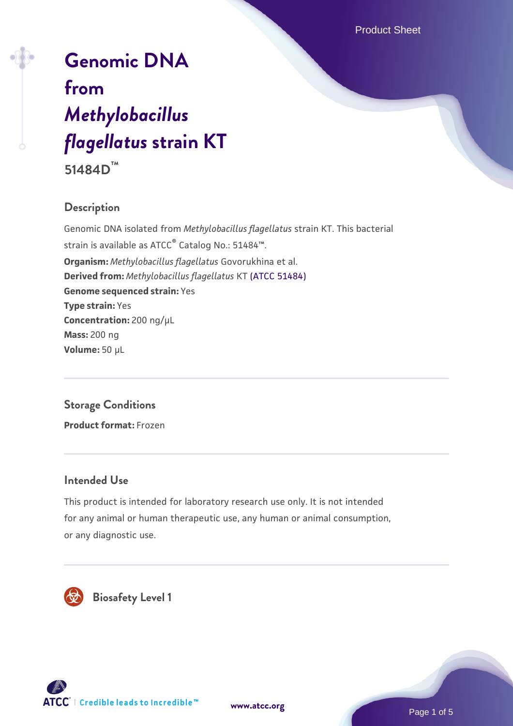Product Sheet

# **[Genomic DNA](https://www.atcc.org/products/51484d) [from](https://www.atcc.org/products/51484d)** *[Methylobacillus](https://www.atcc.org/products/51484d) [flagellatus](https://www.atcc.org/products/51484d)* **[strain KT](https://www.atcc.org/products/51484d)**

**51484D™**

# **Description**

Genomic DNA isolated from *Methylobacillus flagellatus* strain KT. This bacterial strain is available as ATCC® Catalog No.: 51484™. **Organism:** *Methylobacillus flagellatus* Govorukhina et al. **Derived from:** *Methylobacillus flagellatus* KT [\(ATCC 51484\)](https://www.atcc.org/products/51484) **Genome sequenced strain:** Yes **Type strain:** Yes **Concentration:** 200 ng/µL **Mass:** 200 ng **Volume:** 50 µL

# **Storage Conditions**

**Product format:** Frozen

## **Intended Use**

This product is intended for laboratory research use only. It is not intended for any animal or human therapeutic use, any human or animal consumption, or any diagnostic use.



 **Biosafety Level 1**





Page 1 of 5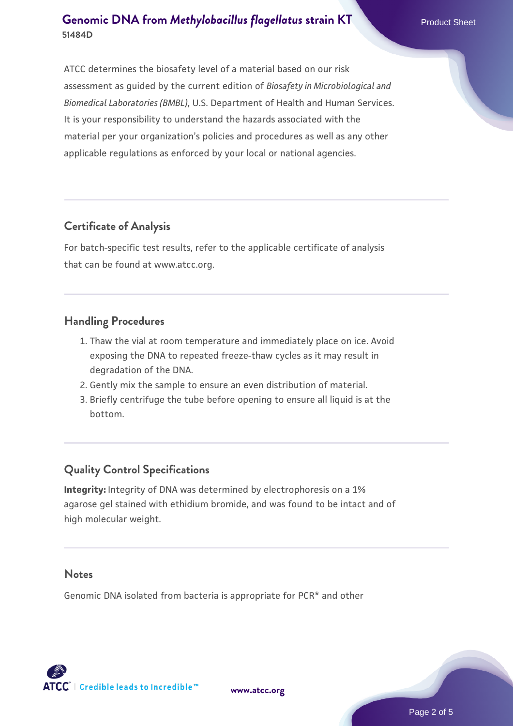applicable regulations as enforced by your local or national agencies.

# **Certificate of Analysis**

For batch-specific test results, refer to the applicable certificate of analysis that can be found at www.atcc.org.

## **Handling Procedures**

- 1. Thaw the vial at room temperature and immediately place on ice. Avoid exposing the DNA to repeated freeze-thaw cycles as it may result in degradation of the DNA.
- 2. Gently mix the sample to ensure an even distribution of material.
- 3. Briefly centrifuge the tube before opening to ensure all liquid is at the bottom.

# **Quality Control Specifications**

**Integrity:** Integrity of DNA was determined by electrophoresis on a 1% agarose gel stained with ethidium bromide, and was found to be intact and of high molecular weight.

#### **Notes**

Genomic DNA isolated from bacteria is appropriate for PCR\* and other

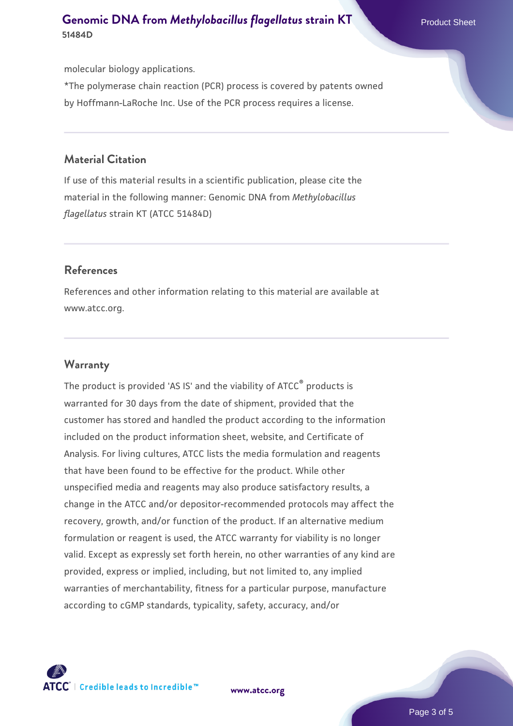molecular biology applications.

\*The polymerase chain reaction (PCR) process is covered by patents owned by Hoffmann-LaRoche Inc. Use of the PCR process requires a license.

#### **Material Citation**

If use of this material results in a scientific publication, please cite the material in the following manner: Genomic DNA from *Methylobacillus flagellatus* strain KT (ATCC 51484D)

#### **References**

References and other information relating to this material are available at www.atcc.org.

#### **Warranty**

The product is provided 'AS IS' and the viability of ATCC® products is warranted for 30 days from the date of shipment, provided that the customer has stored and handled the product according to the information included on the product information sheet, website, and Certificate of Analysis. For living cultures, ATCC lists the media formulation and reagents that have been found to be effective for the product. While other unspecified media and reagents may also produce satisfactory results, a change in the ATCC and/or depositor-recommended protocols may affect the recovery, growth, and/or function of the product. If an alternative medium formulation or reagent is used, the ATCC warranty for viability is no longer valid. Except as expressly set forth herein, no other warranties of any kind are provided, express or implied, including, but not limited to, any implied warranties of merchantability, fitness for a particular purpose, manufacture according to cGMP standards, typicality, safety, accuracy, and/or



**[www.atcc.org](http://www.atcc.org)**

Page 3 of 5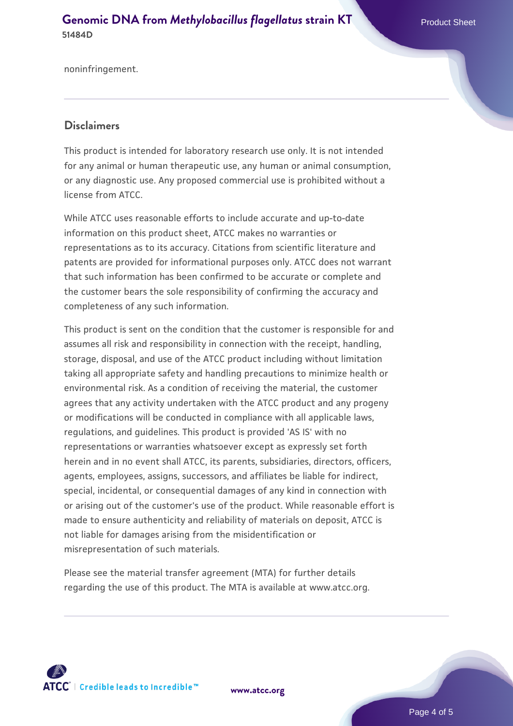noninfringement.

#### **Disclaimers**

This product is intended for laboratory research use only. It is not intended for any animal or human therapeutic use, any human or animal consumption, or any diagnostic use. Any proposed commercial use is prohibited without a license from ATCC.

While ATCC uses reasonable efforts to include accurate and up-to-date information on this product sheet, ATCC makes no warranties or representations as to its accuracy. Citations from scientific literature and patents are provided for informational purposes only. ATCC does not warrant that such information has been confirmed to be accurate or complete and the customer bears the sole responsibility of confirming the accuracy and completeness of any such information.

This product is sent on the condition that the customer is responsible for and assumes all risk and responsibility in connection with the receipt, handling, storage, disposal, and use of the ATCC product including without limitation taking all appropriate safety and handling precautions to minimize health or environmental risk. As a condition of receiving the material, the customer agrees that any activity undertaken with the ATCC product and any progeny or modifications will be conducted in compliance with all applicable laws, regulations, and guidelines. This product is provided 'AS IS' with no representations or warranties whatsoever except as expressly set forth herein and in no event shall ATCC, its parents, subsidiaries, directors, officers, agents, employees, assigns, successors, and affiliates be liable for indirect, special, incidental, or consequential damages of any kind in connection with or arising out of the customer's use of the product. While reasonable effort is made to ensure authenticity and reliability of materials on deposit, ATCC is not liable for damages arising from the misidentification or misrepresentation of such materials.

Please see the material transfer agreement (MTA) for further details regarding the use of this product. The MTA is available at www.atcc.org.



**[www.atcc.org](http://www.atcc.org)**